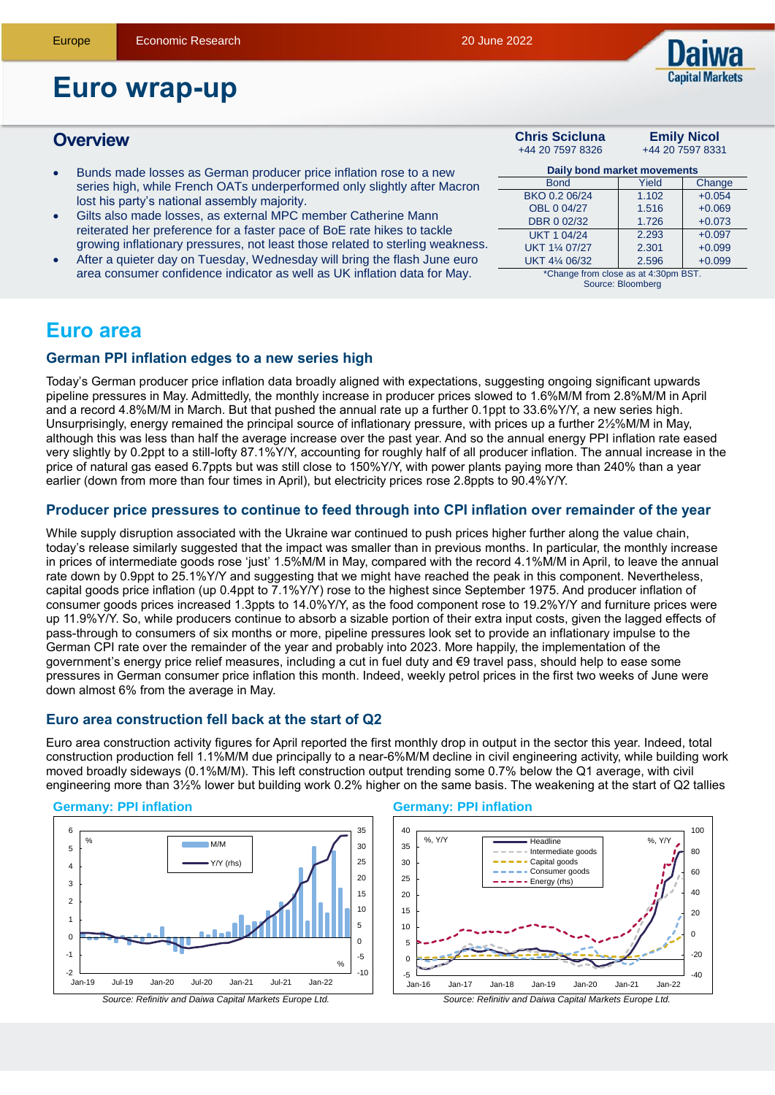

# **Euro wrap-up**

## **Overview Chris Scicluna**

- Bunds made losses as German producer price inflation rose to a new series high, while French OATs underperformed only slightly after Macron lost his party's national assembly majority.
- Gilts also made losses, as external MPC member Catherine Mann reiterated her preference for a faster pace of BoE rate hikes to tackle growing inflationary pressures, not least those related to sterling weakness.
- After a quieter day on Tuesday, Wednesday will bring the flash June euro area consumer confidence indicator as well as UK inflation data for May.

| <b>Chris Scicluna</b>                | <b>Emily Nicol</b> |          |  |  |  |
|--------------------------------------|--------------------|----------|--|--|--|
| +44 20 7597 8326                     | +44 20 7597 8331   |          |  |  |  |
| Daily bond market movements          |                    |          |  |  |  |
| <b>Bond</b>                          | Yield              | Change   |  |  |  |
| BKO 0.2 06/24                        | 1.102              | $+0.054$ |  |  |  |
| OBL 0 04/27                          | 1.516              | $+0.069$ |  |  |  |
| DBR 0 02/32                          | 1.726              | $+0.073$ |  |  |  |
| <b>UKT 1 04/24</b>                   | 2.293              | $+0.097$ |  |  |  |
| UKT 11/4 07/27                       | 2.301              | $+0.099$ |  |  |  |
| UKT 41/4 06/32                       | 2.596              | $+0.099$ |  |  |  |
| *Change from close as at 4:30pm BST. |                    |          |  |  |  |

Source: Bloomberg

# **Euro area**

## **German PPI inflation edges to a new series high**

Today's German producer price inflation data broadly aligned with expectations, suggesting ongoing significant upwards pipeline pressures in May. Admittedly, the monthly increase in producer prices slowed to 1.6%M/M from 2.8%M/M in April and a record 4.8%M/M in March. But that pushed the annual rate up a further 0.1ppt to 33.6%Y/Y, a new series high. Unsurprisingly, energy remained the principal source of inflationary pressure, with prices up a further 2½%M/M in May, although this was less than half the average increase over the past year. And so the annual energy PPI inflation rate eased very slightly by 0.2ppt to a still-lofty 87.1%Y/Y, accounting for roughly half of all producer inflation. The annual increase in the price of natural gas eased 6.7ppts but was still close to 150%Y/Y, with power plants paying more than 240% than a year earlier (down from more than four times in April), but electricity prices rose 2.8ppts to 90.4%Y/Y.

## **Producer price pressures to continue to feed through into CPI inflation over remainder of the year**

While supply disruption associated with the Ukraine war continued to push prices higher further along the value chain, today's release similarly suggested that the impact was smaller than in previous months. In particular, the monthly increase in prices of intermediate goods rose 'just' 1.5%M/M in May, compared with the record 4.1%M/M in April, to leave the annual rate down by 0.9ppt to 25.1%Y/Y and suggesting that we might have reached the peak in this component. Nevertheless, capital goods price inflation (up 0.4ppt to 7.1%Y/Y) rose to the highest since September 1975. And producer inflation of consumer goods prices increased 1.3ppts to 14.0%Y/Y, as the food component rose to 19.2%Y/Y and furniture prices were up 11.9%Y/Y. So, while producers continue to absorb a sizable portion of their extra input costs, given the lagged effects of pass-through to consumers of six months or more, pipeline pressures look set to provide an inflationary impulse to the German CPI rate over the remainder of the year and probably into 2023. More happily, the implementation of the government's energy price relief measures, including a cut in fuel duty and €9 travel pass, should help to ease some pressures in German consumer price inflation this month. Indeed, weekly petrol prices in the first two weeks of June were down almost 6% from the average in May.

## **Euro area construction fell back at the start of Q2**

Euro area construction activity figures for April reported the first monthly drop in output in the sector this year. Indeed, total construction production fell 1.1%M/M due principally to a near-6%M/M decline in civil engineering activity, while building work moved broadly sideways (0.1%M/M). This left construction output trending some 0.7% below the Q1 average, with civil engineering more than 3½% lower but building work 0.2% higher on the same basis. The weakening at the start of Q2 tallies

## **Germany: PPI inflation**



#### **Germany: PPI inflation**

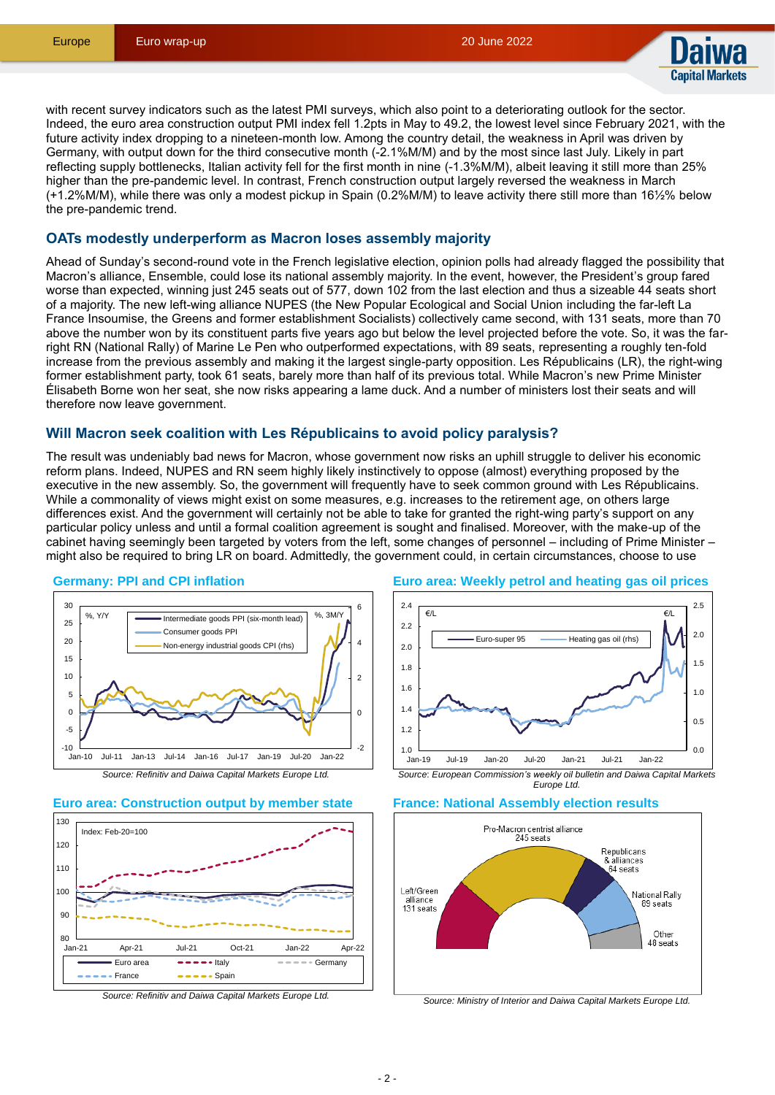

with recent survey indicators such as the latest PMI surveys, which also point to a deteriorating outlook for the sector. Indeed, the euro area construction output PMI index fell 1.2pts in May to 49.2, the lowest level since February 2021, with the future activity index dropping to a nineteen-month low. Among the country detail, the weakness in April was driven by Germany, with output down for the third consecutive month (-2.1%M/M) and by the most since last July. Likely in part reflecting supply bottlenecks, Italian activity fell for the first month in nine (-1.3%M/M), albeit leaving it still more than 25% higher than the pre-pandemic level. In contrast, French construction output largely reversed the weakness in March (+1.2%M/M), while there was only a modest pickup in Spain (0.2%M/M) to leave activity there still more than 16½% below the pre-pandemic trend.

## **OATs modestly underperform as Macron loses assembly majority**

Ahead of Sunday's second-round vote in the French legislative election, opinion polls had already flagged the possibility that Macron's alliance, Ensemble, could lose its national assembly majority. In the event, however, the President's group fared worse than expected, winning just 245 seats out of 577, down 102 from the last election and thus a sizeable 44 seats short of a majority. The new left-wing alliance NUPES (the New Popular Ecological and Social Union including the far-left La France Insoumise, the Greens and former establishment Socialists) collectively came second, with 131 seats, more than 70 above the number won by its constituent parts five years ago but below the level projected before the vote. So, it was the farright RN (National Rally) of Marine Le Pen who outperformed expectations, with 89 seats, representing a roughly ten-fold increase from the previous assembly and making it the largest single-party opposition. Les Républicains (LR), the right-wing former establishment party, took 61 seats, barely more than half of its previous total. While Macron's new Prime Minister Élisabeth Borne won her seat, she now risks appearing a lame duck. And a number of ministers lost their seats and will therefore now leave government.

## **Will Macron seek coalition with Les Républicains to avoid policy paralysis?**

The result was undeniably bad news for Macron, whose government now risks an uphill struggle to deliver his economic reform plans. Indeed, NUPES and RN seem highly likely instinctively to oppose (almost) everything proposed by the executive in the new assembly. So, the government will frequently have to seek common ground with Les Républicains. While a commonality of views might exist on some measures, e.g. increases to the retirement age, on others large differences exist. And the government will certainly not be able to take for granted the right-wing party's support on any particular policy unless and until a formal coalition agreement is sought and finalised. Moreover, with the make-up of the cabinet having seemingly been targeted by voters from the left, some changes of personnel – including of Prime Minister – might also be required to bring LR on board. Admittedly, the government could, in certain circumstances, choose to use

#### **Germany: PPI and CPI inflation**





## **Euro area: Construction output by member state**













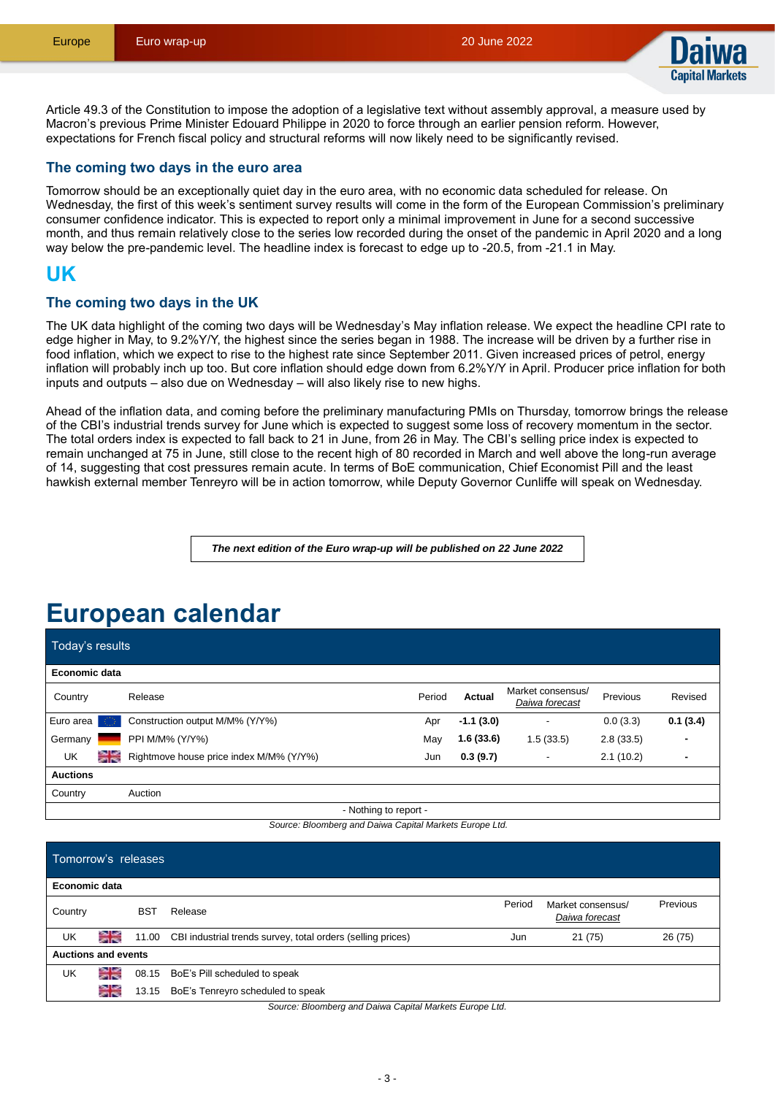

Article 49.3 of the Constitution to impose the adoption of a legislative text without assembly approval, a measure used by Macron's previous Prime Minister Edouard Philippe in 2020 to force through an earlier pension reform. However, expectations for French fiscal policy and structural reforms will now likely need to be significantly revised.

## **The coming two days in the euro area**

Tomorrow should be an exceptionally quiet day in the euro area, with no economic data scheduled for release. On Wednesday, the first of this week's sentiment survey results will come in the form of the European Commission's preliminary consumer confidence indicator. This is expected to report only a minimal improvement in June for a second successive month, and thus remain relatively close to the series low recorded during the onset of the pandemic in April 2020 and a long way below the pre-pandemic level. The headline index is forecast to edge up to -20.5, from -21.1 in May.

## **UK**

## **The coming two days in the UK**

The UK data highlight of the coming two days will be Wednesday's May inflation release. We expect the headline CPI rate to edge higher in May, to 9.2%Y/Y, the highest since the series began in 1988. The increase will be driven by a further rise in food inflation, which we expect to rise to the highest rate since September 2011. Given increased prices of petrol, energy inflation will probably inch up too. But core inflation should edge down from 6.2%Y/Y in April. Producer price inflation for both inputs and outputs – also due on Wednesday – will also likely rise to new highs.

Ahead of the inflation data, and coming before the preliminary manufacturing PMIs on Thursday, tomorrow brings the release of the CBI's industrial trends survey for June which is expected to suggest some loss of recovery momentum in the sector. The total orders index is expected to fall back to 21 in June, from 26 in May. The CBI's selling price index is expected to remain unchanged at 75 in June, still close to the recent high of 80 recorded in March and well above the long-run average of 14, suggesting that cost pressures remain acute. In terms of BoE communication, Chief Economist Pill and the least hawkish external member Tenreyro will be in action tomorrow, while Deputy Governor Cunliffe will speak on Wednesday.

*The next edition of the Euro wrap-up will be published on 22 June 2022*

# **European calendar**

Today's results

| Economic data      |                                         |        |             |                                     |           |          |
|--------------------|-----------------------------------------|--------|-------------|-------------------------------------|-----------|----------|
| Country            | Release                                 | Period | Actual      | Market consensus/<br>Daiwa forecast | Previous  | Revised  |
| Euro area <b>C</b> | Construction output M/M% (Y/Y%)         | Apr    | $-1.1(3.0)$ |                                     | 0.0(3.3)  | 0.1(3.4) |
| Germany            | PPI M/M% (Y/Y%)                         | May    | 1.6(33.6)   | .5(33.5)                            | 2.8(33.5) | ۰        |
| ≳≼<br>UK           | Rightmove house price index M/M% (Y/Y%) | Jun    | 0.3(9.7)    | -                                   | 2.1(10.2) | -        |
| <b>Auctions</b>    |                                         |        |             |                                     |           |          |
| Country            | Auction                                 |        |             |                                     |           |          |

- Nothing to report -

*Source: Bloomberg and Daiwa Capital Markets Europe Ltd.*

| Tomorrow's releases        |    |            |                                                             |        |                                     |          |
|----------------------------|----|------------|-------------------------------------------------------------|--------|-------------------------------------|----------|
| Economic data              |    |            |                                                             |        |                                     |          |
| Country                    |    | <b>BST</b> | Release                                                     | Period | Market consensus/<br>Daiwa forecast | Previous |
| UK                         | ≍≍ | 11.00      | CBI industrial trends survey, total orders (selling prices) | Jun    | 21(75)                              | 26 (75)  |
| <b>Auctions and events</b> |    |            |                                                             |        |                                     |          |
| UK                         | ≍≍ |            | 08.15 BoE's Pill scheduled to speak                         |        |                                     |          |
|                            | ≍≍ | 13.15      | BoE's Tenreyro scheduled to speak                           |        |                                     |          |

*Source: Bloomberg and Daiwa Capital Markets Europe Ltd.*